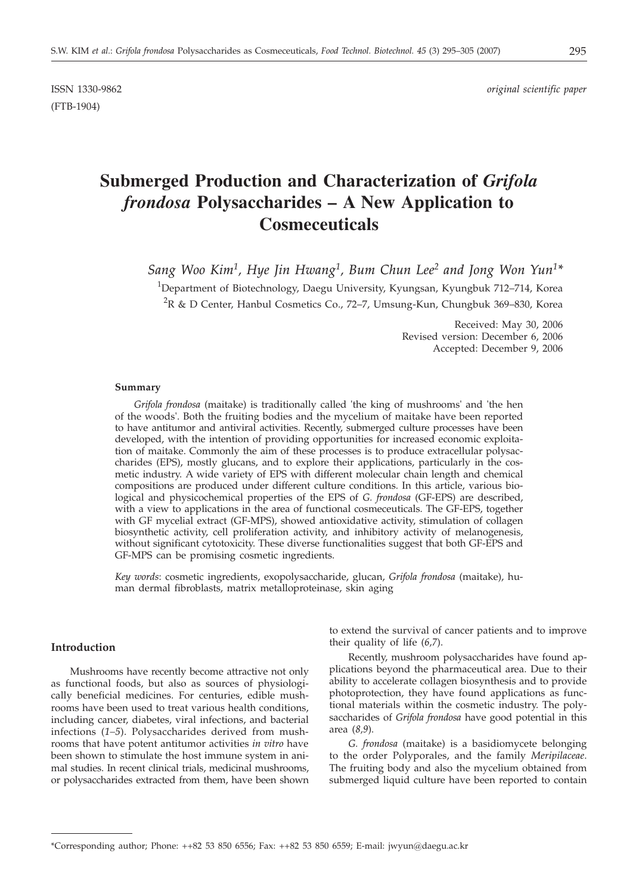(FTB-1904)

ISSN 1330-9862 *original scientific paper*

# **Submerged Production and Characterization of** *Grifola frondosa* **Polysaccharides – A New Application to Cosmeceuticals**

*Sang Woo Kim1, Hye Jin Hwang1, Bum Chun Lee2 and Jong Won Yun1\**

<sup>1</sup>Department of Biotechnology, Daegu University, Kyungsan, Kyungbuk 712–714, Korea  ${}^{2}$ R & D Center, Hanbul Cosmetics Co., 72–7, Umsung-Kun, Chungbuk 369–830, Korea

> Received: May 30, 2006 Revised version: December 6, 2006 Accepted: December 9, 2006

#### **Summary**

*Grifola frondosa* (maitake) is traditionally called 'the king of mushrooms' and 'the hen of the woods'. Both the fruiting bodies and the mycelium of maitake have been reported to have antitumor and antiviral activities. Recently, submerged culture processes have been developed, with the intention of providing opportunities for increased economic exploitation of maitake. Commonly the aim of these processes is to produce extracellular polysaccharides (EPS), mostly glucans, and to explore their applications, particularly in the cosmetic industry. A wide variety of EPS with different molecular chain length and chemical compositions are produced under different culture conditions. In this article, various biological and physicochemical properties of the EPS of *G. frondosa* (GF-EPS) are described, with a view to applications in the area of functional cosmeceuticals. The GF-EPS, together with GF mycelial extract (GF-MPS), showed antioxidative activity, stimulation of collagen biosynthetic activity, cell proliferation activity, and inhibitory activity of melanogenesis, without significant cytotoxicity. These diverse functionalities suggest that both GF-EPS and GF-MPS can be promising cosmetic ingredients.

*Key words*: cosmetic ingredients, exopolysaccharide, glucan, *Grifola frondosa* (maitake), human dermal fibroblasts, matrix metalloproteinase, skin aging

## **Introduction**

Mushrooms have recently become attractive not only as functional foods, but also as sources of physiologically beneficial medicines. For centuries, edible mushrooms have been used to treat various health conditions, including cancer, diabetes, viral infections, and bacterial infections (*1–5*). Polysaccharides derived from mushrooms that have potent antitumor activities *in vitro* have been shown to stimulate the host immune system in animal studies. In recent clinical trials, medicinal mushrooms, or polysaccharides extracted from them, have been shown to extend the survival of cancer patients and to improve their quality of life (*6,7*).

Recently, mushroom polysaccharides have found applications beyond the pharmaceutical area. Due to their ability to accelerate collagen biosynthesis and to provide photoprotection, they have found applications as functional materials within the cosmetic industry. The polysaccharides of *Grifola frondosa* have good potential in this area (*8,9*).

*G. frondosa* (maitake) is a basidiomycete belonging to the order Polyporales, and the family *Meripilaceae*. The fruiting body and also the mycelium obtained from submerged liquid culture have been reported to contain

<sup>\*</sup>Corresponding author; Phone: ++82 53 850 6556; Fax: ++82 53 850 6559; E-mail: jwyun@daegu.ac.kr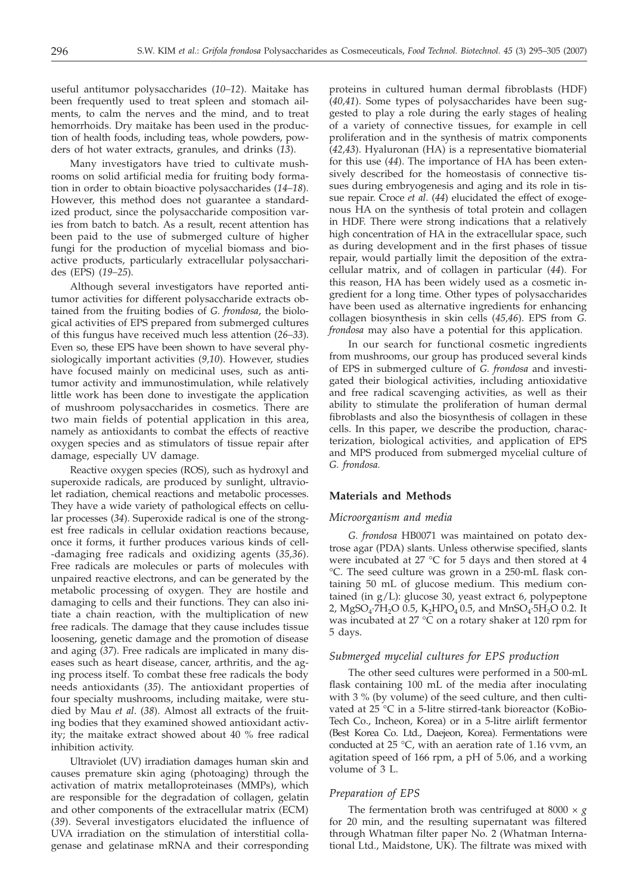useful antitumor polysaccharides (*10–12*). Maitake has been frequently used to treat spleen and stomach ailments, to calm the nerves and the mind, and to treat hemorrhoids. Dry maitake has been used in the production of health foods, including teas, whole powders, powders of hot water extracts, granules, and drinks (*13*).

Many investigators have tried to cultivate mushrooms on solid artificial media for fruiting body formation in order to obtain bioactive polysaccharides (*14–18*). However, this method does not guarantee a standardized product, since the polysaccharide composition varies from batch to batch. As a result, recent attention has been paid to the use of submerged culture of higher fungi for the production of mycelial biomass and bioactive products, particularly extracellular polysaccharides (EPS) (*19–25*).

Although several investigators have reported antitumor activities for different polysaccharide extracts obtained from the fruiting bodies of *G. frondosa*, the biological activities of EPS prepared from submerged cultures of this fungus have received much less attention (*26–33*). Even so, these EPS have been shown to have several physiologically important activities (*9,10*). However, studies have focused mainly on medicinal uses, such as antitumor activity and immunostimulation, while relatively little work has been done to investigate the application of mushroom polysaccharides in cosmetics. There are two main fields of potential application in this area, namely as antioxidants to combat the effects of reactive oxygen species and as stimulators of tissue repair after damage, especially UV damage.

Reactive oxygen species (ROS), such as hydroxyl and superoxide radicals, are produced by sunlight, ultraviolet radiation, chemical reactions and metabolic processes. They have a wide variety of pathological effects on cellular processes (*34*). Superoxide radical is one of the strongest free radicals in cellular oxidation reactions because, once it forms, it further produces various kinds of cell- -damaging free radicals and oxidizing agents (*35,36*). Free radicals are molecules or parts of molecules with unpaired reactive electrons, and can be generated by the metabolic processing of oxygen. They are hostile and damaging to cells and their functions. They can also initiate a chain reaction, with the multiplication of new free radicals. The damage that they cause includes tissue loosening, genetic damage and the promotion of disease and aging (*37*). Free radicals are implicated in many diseases such as heart disease, cancer, arthritis, and the aging process itself. To combat these free radicals the body needs antioxidants (*35*). The antioxidant properties of four specialty mushrooms, including maitake, were studied by Mau *et al*. (*38*). Almost all extracts of the fruiting bodies that they examined showed antioxidant activity; the maitake extract showed about 40 % free radical inhibition activity.

Ultraviolet (UV) irradiation damages human skin and causes premature skin aging (photoaging) through the activation of matrix metalloproteinases (MMPs), which are responsible for the degradation of collagen, gelatin and other components of the extracellular matrix (ECM) (*39*). Several investigators elucidated the influence of UVA irradiation on the stimulation of interstitial collagenase and gelatinase mRNA and their corresponding

proteins in cultured human dermal fibroblasts (HDF) (*40,41*). Some types of polysaccharides have been suggested to play a role during the early stages of healing of a variety of connective tissues, for example in cell proliferation and in the synthesis of matrix components (*42,43*). Hyaluronan (HA) is a representative biomaterial for this use (*44*). The importance of HA has been extensively described for the homeostasis of connective tissues during embryogenesis and aging and its role in tissue repair. Croce *et al*. (*44*) elucidated the effect of exogenous HA on the synthesis of total protein and collagen in HDF. There were strong indications that a relatively high concentration of HA in the extracellular space, such as during development and in the first phases of tissue repair, would partially limit the deposition of the extracellular matrix, and of collagen in particular (*44*). For this reason, HA has been widely used as a cosmetic ingredient for a long time. Other types of polysaccharides have been used as alternative ingredients for enhancing collagen biosynthesis in skin cells (*45,46*). EPS from *G. frondosa* may also have a potential for this application.

In our search for functional cosmetic ingredients from mushrooms, our group has produced several kinds of EPS in submerged culture of *G. frondosa* and investigated their biological activities, including antioxidative and free radical scavenging activities, as well as their ability to stimulate the proliferation of human dermal fibroblasts and also the biosynthesis of collagen in these cells. In this paper, we describe the production, characterization, biological activities, and application of EPS and MPS produced from submerged mycelial culture of *G. frondosa.*

#### **Materials and Methods**

#### *Microorganism and media*

*G. frondosa* HB0071 was maintained on potato dextrose agar (PDA) slants. Unless otherwise specified, slants were incubated at 27 °C for 5 days and then stored at 4 °C. The seed culture was grown in a 250-mL flask containing 50 mL of glucose medium. This medium contained (in g/L): glucose 30, yeast extract 6, polypeptone 2, MgSO<sub>4</sub>·7H<sub>2</sub>O 0.5, K<sub>2</sub>HPO<sub>4</sub> 0.5, and MnSO<sub>4</sub>·5H<sub>2</sub>O 0.2. It was incubated at 27 °C on a rotary shaker at 120 rpm for 5 days.

#### *Submerged mycelial cultures for EPS production*

The other seed cultures were performed in a 500-mL flask containing 100 mL of the media after inoculating with 3 % (by volume) of the seed culture, and then cultivated at 25 °C in a 5-litre stirred-tank bioreactor (KoBio-Tech Co., Incheon, Korea) or in a 5-litre airlift fermentor (Best Korea Co. Ltd., Daejeon, Korea). Fermentations were conducted at 25  $\degree$ C, with an aeration rate of 1.16 vvm, an agitation speed of 166 rpm, a pH of 5.06, and a working volume of 3 L.

#### *Preparation of EPS*

The fermentation broth was centrifuged at 8000  $\times$  *g* for 20 min, and the resulting supernatant was filtered through Whatman filter paper No. 2 (Whatman International Ltd., Maidstone, UK). The filtrate was mixed with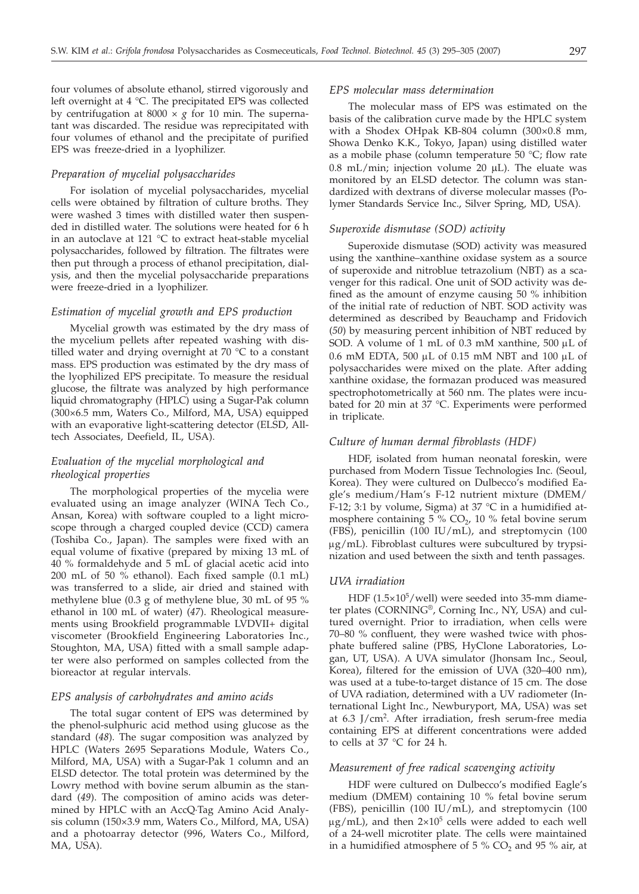four volumes of absolute ethanol, stirred vigorously and left overnight at 4 °C. The precipitated EPS was collected by centrifugation at 8000 × *g* for 10 min. The supernatant was discarded. The residue was reprecipitated with four volumes of ethanol and the precipitate of purified EPS was freeze-dried in a lyophilizer.

#### *Preparation of mycelial polysaccharides*

For isolation of mycelial polysaccharides, mycelial cells were obtained by filtration of culture broths. They were washed 3 times with distilled water then suspended in distilled water. The solutions were heated for 6 h in an autoclave at 121 °C to extract heat-stable mycelial polysaccharides, followed by filtration. The filtrates were then put through a process of ethanol precipitation, dialysis, and then the mycelial polysaccharide preparations were freeze-dried in a lyophilizer.

#### *Estimation of mycelial growth and EPS production*

Mycelial growth was estimated by the dry mass of the mycelium pellets after repeated washing with distilled water and drying overnight at 70 °C to a constant mass. EPS production was estimated by the dry mass of the lyophilized EPS precipitate. To measure the residual glucose, the filtrate was analyzed by high performance liquid chromatography (HPLC) using a Sugar-Pak column (300×6.5 mm, Waters Co., Milford, MA, USA) equipped with an evaporative light-scattering detector (ELSD, Alltech Associates, Deefield, IL, USA).

# *Evaluation of the mycelial morphological and rheological properties*

The morphological properties of the mycelia were evaluated using an image analyzer (WINA Tech Co., Ansan, Korea) with software coupled to a light microscope through a charged coupled device (CCD) camera (Toshiba Co., Japan). The samples were fixed with an equal volume of fixative (prepared by mixing 13 mL of 40 % formaldehyde and 5 mL of glacial acetic acid into 200 mL of 50 % ethanol). Each fixed sample (0.1 mL) was transferred to a slide, air dried and stained with methylene blue (0.3 g of methylene blue, 30 mL of 95 % ethanol in 100 mL of water) (*47*). Rheological measurements using Brookfield programmable LVDVII+ digital viscometer (Brookfield Engineering Laboratories Inc., Stoughton, MA, USA) fitted with a small sample adapter were also performed on samples collected from the bioreactor at regular intervals.

#### *EPS analysis of carbohydrates and amino acids*

The total sugar content of EPS was determined by the phenol-sulphuric acid method using glucose as the standard (*48*). The sugar composition was analyzed by HPLC (Waters 2695 Separations Module, Waters Co., Milford, MA, USA) with a Sugar-Pak 1 column and an ELSD detector. The total protein was determined by the Lowry method with bovine serum albumin as the standard (*49*). The composition of amino acids was determined by HPLC with an AccQ·Tag Amino Acid Analysis column (150×3.9 mm, Waters Co., Milford, MA, USA) and a photoarray detector (996, Waters Co., Milford, MA, USA).

#### *EPS molecular mass determination*

The molecular mass of EPS was estimated on the basis of the calibration curve made by the HPLC system with a Shodex OHpak KB-804 column (300×0.8 mm, Showa Denko K.K., Tokyo, Japan) using distilled water as a mobile phase (column temperature 50 °C; flow rate 0.8 mL/min; injection volume 20  $\mu$ L). The eluate was monitored by an ELSD detector. The column was standardized with dextrans of diverse molecular masses (Polymer Standards Service Inc., Silver Spring, MD, USA).

#### *Superoxide dismutase (SOD) activity*

Superoxide dismutase (SOD) activity was measured using the xanthine–xanthine oxidase system as a source of superoxide and nitroblue tetrazolium (NBT) as a scavenger for this radical. One unit of SOD activity was defined as the amount of enzyme causing 50 % inhibition of the initial rate of reduction of NBT. SOD activity was determined as described by Beauchamp and Fridovich (*50*) by measuring percent inhibition of NBT reduced by SOD. A volume of 1 mL of 0.3 mM xanthine, 500  $\mu$ L of 0.6 mM EDTA, 500  $\mu$ L of 0.15 mM NBT and 100  $\mu$ L of polysaccharides were mixed on the plate. After adding xanthine oxidase, the formazan produced was measured spectrophotometrically at 560 nm. The plates were incubated for 20 min at 37 °C. Experiments were performed in triplicate.

## *Culture of human dermal fibroblasts (HDF)*

HDF, isolated from human neonatal foreskin, were purchased from Modern Tissue Technologies Inc. (Seoul, Korea). They were cultured on Dulbecco's modified Eagle's medium/Ham's F-12 nutrient mixture (DMEM/ F-12; 3:1 by volume, Sigma) at 37  $^{\circ}$ C in a humidified atmosphere containing  $5\%$  CO<sub>2</sub>, 10 % fetal bovine serum (FBS), penicillin (100 IU/mL), and streptomycin (100  $\mu$ g/mL). Fibroblast cultures were subcultured by trypsinization and used between the sixth and tenth passages.

## *UVA irradiation*

HDF  $(1.5\times10^{5}/\text{well})$  were seeded into 35-mm diameter plates (CORNING®, Corning Inc., NY, USA) and cultured overnight. Prior to irradiation, when cells were 70–80 % confluent, they were washed twice with phosphate buffered saline (PBS, HyClone Laboratories, Logan, UT, USA). A UVA simulator (Jhonsam Inc., Seoul, Korea), filtered for the emission of UVA (320–400 nm), was used at a tube-to-target distance of 15 cm. The dose of UVA radiation, determined with a UV radiometer (International Light Inc., Newburyport, MA, USA) was set at  $6.3$  J/cm<sup>2</sup>. After irradiation, fresh serum-free media containing EPS at different concentrations were added to cells at 37 °C for 24 h.

#### *Measurement of free radical scavenging activity*

HDF were cultured on Dulbecco's modified Eagle's medium (DMEM) containing 10 % fetal bovine serum (FBS), penicillin (100 IU/mL), and streptomycin (100  $\mu$ g/mL), and then  $2\times10^5$  cells were added to each well of a 24-well microtiter plate. The cells were maintained in a humidified atmosphere of 5 %  $CO<sub>2</sub>$  and 95 % air, at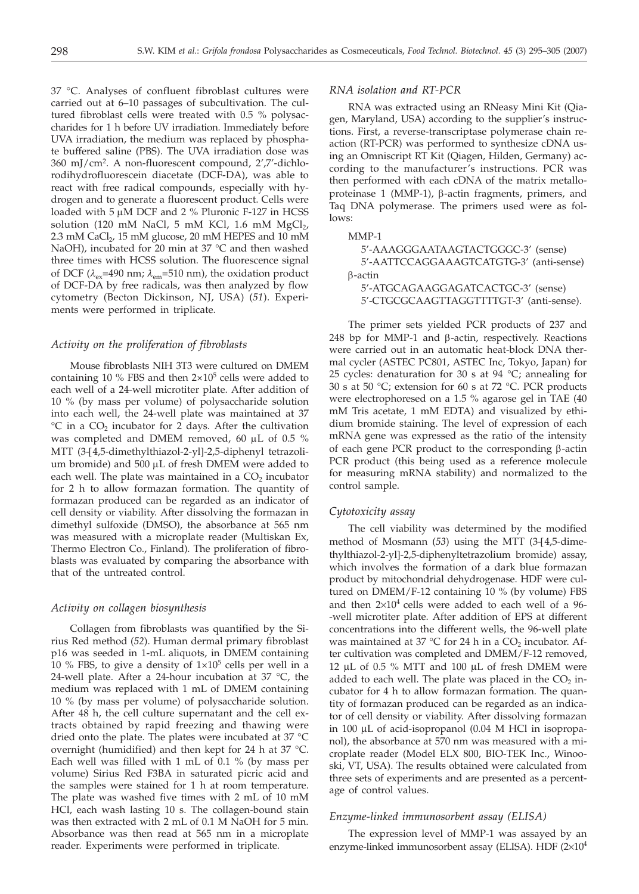37 °C. Analyses of confluent fibroblast cultures were carried out at 6–10 passages of subcultivation. The cultured fibroblast cells were treated with 0.5 % polysaccharides for 1 h before UV irradiation. Immediately before UVA irradiation, the medium was replaced by phosphate buffered saline (PBS). The UVA irradiation dose was 360 mJ/cm2. A non-fluorescent compound, 2',7'-dichlorodihydrofluorescein diacetate (DCF-DA), was able to react with free radical compounds, especially with hydrogen and to generate a fluorescent product. Cells were loaded with  $5 \mu M$  DCF and 2 % Pluronic F-127 in HCSS solution (120 mM NaCl, 5 mM KCl, 1.6 mM  $MgCl<sub>2</sub>$ , 2.3 mM CaCl<sub>2</sub>, 15 mM glucose, 20 mM HEPES and 10 mM NaOH), incubated for 20 min at 37 °C and then washed three times with HCSS solution. The fluorescence signal of DCF ( $\lambda_{\text{ex}}$ =490 nm;  $\lambda_{\text{em}}$ =510 nm), the oxidation product of DCF-DA by free radicals, was then analyzed by flow cytometry (Becton Dickinson, NJ, USA) (*51*). Experiments were performed in triplicate.

#### *Activity on the proliferation of fibroblasts*

Mouse fibroblasts NIH 3T3 were cultured on DMEM containing 10 % FBS and then  $2\times10^5$  cells were added to each well of a 24-well microtiter plate. After addition of 10 % (by mass per volume) of polysaccharide solution into each well, the 24-well plate was maintained at 37  $\degree$ C in a CO<sub>2</sub> incubator for 2 days. After the cultivation was completed and DMEM removed, 60  $\mu$ L of 0.5 % MTT (3-[4,5-dimethylthiazol-2-yl]-2,5-diphenyl tetrazolium bromide) and  $500 \mu L$  of fresh DMEM were added to each well. The plate was maintained in a  $CO<sub>2</sub>$  incubator for 2 h to allow formazan formation. The quantity of formazan produced can be regarded as an indicator of cell density or viability. After dissolving the formazan in dimethyl sulfoxide (DMSO), the absorbance at 565 nm was measured with a microplate reader (Multiskan Ex, Thermo Electron Co., Finland). The proliferation of fibroblasts was evaluated by comparing the absorbance with that of the untreated control.

## *Activity on collagen biosynthesis*

Collagen from fibroblasts was quantified by the Sirius Red method (*52*). Human dermal primary fibroblast p16 was seeded in 1-mL aliquots, in DMEM containing 10 % FBS, to give a density of  $1\times10^5$  cells per well in a 24-well plate. After a 24-hour incubation at 37  $^{\circ}$ C, the medium was replaced with 1 mL of DMEM containing 10 % (by mass per volume) of polysaccharide solution. After 48 h, the cell culture supernatant and the cell extracts obtained by rapid freezing and thawing were dried onto the plate. The plates were incubated at 37 °C overnight (humidified) and then kept for 24 h at 37 °C. Each well was filled with 1 mL of 0.1 % (by mass per volume) Sirius Red F3BA in saturated picric acid and the samples were stained for 1 h at room temperature. The plate was washed five times with 2 mL of 10 mM HCl, each wash lasting 10 s. The collagen-bound stain was then extracted with 2 mL of 0.1 M NaOH for 5 min. Absorbance was then read at 565 nm in a microplate reader. Experiments were performed in triplicate.

#### *RNA isolation and RT-PCR*

RNA was extracted using an RNeasy Mini Kit (Qiagen, Maryland, USA) according to the supplier's instructions. First, a reverse-transcriptase polymerase chain reaction (RT-PCR) was performed to synthesize cDNA using an Omniscript RT Kit (Qiagen, Hilden, Germany) according to the manufacturer's instructions. PCR was then performed with each cDNA of the matrix metalloproteinase 1 (MMP-1),  $\beta$ -actin fragments, primers, and Taq DNA polymerase. The primers used were as follows:

## MMP-1

| 5'-AAAGGGAATAAGTACTGGGC-3' (sense)       |
|------------------------------------------|
| 5'-AATTCCAGGAAAGTCATGTG-3' (anti-sense)  |
| $\beta$ -actin                           |
| 5'-ATGCAGAAGGAGATCACTGC-3' (sense)       |
| 5'-CTGCGCAAGTTAGGTTTTGT-3' (anti-sense). |

The primer sets yielded PCR products of 237 and 248 bp for MMP-1 and  $\beta$ -actin, respectively. Reactions were carried out in an automatic heat-block DNA thermal cycler (ASTEC PC801, ASTEC Inc, Tokyo, Japan) for 25 cycles: denaturation for 30 s at 94 °C; annealing for 30 s at 50 °C; extension for 60 s at 72 °C. PCR products were electrophoresed on a 1.5 % agarose gel in TAE (40 mM Tris acetate, 1 mM EDTA) and visualized by ethidium bromide staining. The level of expression of each mRNA gene was expressed as the ratio of the intensity of each gene PCR product to the corresponding  $\beta$ -actin PCR product (this being used as a reference molecule for measuring mRNA stability) and normalized to the control sample.

#### *Cytotoxicity assay*

The cell viability was determined by the modified method of Mosmann (*53*) using the MTT (3-[4,5-dimethylthiazol-2-yl]-2,5-diphenyltetrazolium bromide) assay, which involves the formation of a dark blue formazan product by mitochondrial dehydrogenase. HDF were cultured on DMEM/F-12 containing 10 % (by volume) FBS and then  $2\times10^4$  cells were added to each well of a 96--well microtiter plate. After addition of EPS at different concentrations into the different wells, the 96-well plate was maintained at 37  $\degree$ C for 24 h in a CO<sub>2</sub> incubator. After cultivation was completed and DMEM/F-12 removed, 12 µL of 0.5 % MTT and 100 µL of fresh DMEM were added to each well. The plate was placed in the  $CO<sub>2</sub>$  incubator for 4 h to allow formazan formation. The quantity of formazan produced can be regarded as an indicator of cell density or viability. After dissolving formazan in 100 µL of acid-isopropanol (0.04 M HCl in isopropanol), the absorbance at 570 nm was measured with a microplate reader (Model ELX 800, BIO-TEK Inc., Winooski, VT, USA). The results obtained were calculated from three sets of experiments and are presented as a percentage of control values.

## *Enzyme-linked immunosorbent assay (ELISA)*

The expression level of MMP-1 was assayed by an enzyme-linked immunosorbent assay (ELISA). HDF  $(2\times10^4$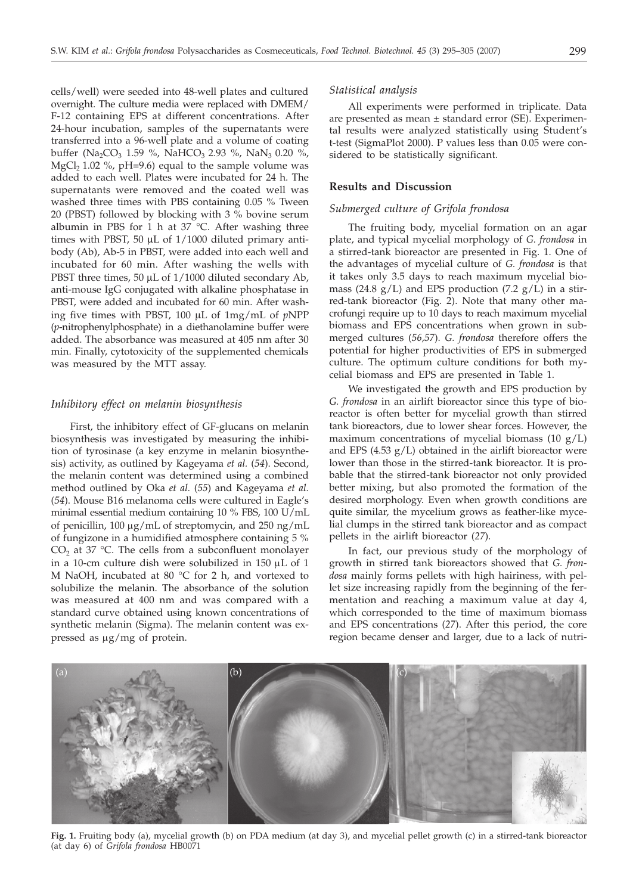cells/well) were seeded into 48-well plates and cultured overnight. The culture media were replaced with DMEM/ F-12 containing EPS at different concentrations. After 24-hour incubation, samples of the supernatants were transferred into a 96-well plate and a volume of coating buffer (Na<sub>2</sub>CO<sub>3</sub> 1.59 %, NaHCO<sub>3</sub> 2.93 %, NaN<sub>3</sub> 0.20 %, MgCl<sub>2</sub> 1.02 %, pH=9.6) equal to the sample volume was added to each well. Plates were incubated for 24 h. The supernatants were removed and the coated well was washed three times with PBS containing 0.05 % Tween 20 (PBST) followed by blocking with 3 % bovine serum albumin in PBS for 1 h at 37 °C. After washing three times with PBST, 50 µL of 1/1000 diluted primary antibody (Ab), Ab-5 in PBST, were added into each well and incubated for 60 min. After washing the wells with PBST three times, 50 µL of 1/1000 diluted secondary Ab, anti-mouse IgG conjugated with alkaline phosphatase in PBST, were added and incubated for 60 min. After washing five times with PBST, 100 µL of 1mg/mL of *p*NPP (*p*-nitrophenylphosphate) in a diethanolamine buffer were added. The absorbance was measured at 405 nm after 30 min. Finally, cytotoxicity of the supplemented chemicals was measured by the MTT assay.

#### *Inhibitory effect on melanin biosynthesis*

First, the inhibitory effect of GF-glucans on melanin biosynthesis was investigated by measuring the inhibition of tyrosinase (a key enzyme in melanin biosynthesis) activity, as outlined by Kageyama *et al.* (*54*). Second, the melanin content was determined using a combined method outlined by Oka *et al.* (*55*) and Kageyama *et al.* (*54*). Mouse B16 melanoma cells were cultured in Eagle's minimal essential medium containing 10 % FBS, 100 U/mL of penicillin, 100  $\mu$ g/mL of streptomycin, and 250 ng/mL of fungizone in a humidified atmosphere containing 5 %  $CO<sub>2</sub>$  at 37 °C. The cells from a subconfluent monolayer in a 10-cm culture dish were solubilized in  $150 \mu L$  of  $1$ M NaOH, incubated at 80 °C for 2 h, and vortexed to solubilize the melanin. The absorbance of the solution was measured at 400 nm and was compared with a standard curve obtained using known concentrations of synthetic melanin (Sigma). The melanin content was expressed as  $\mu$ g/mg of protein.

#### *Statistical analysis*

All experiments were performed in triplicate. Data are presented as mean  $\pm$  standard error (SE). Experimental results were analyzed statistically using Student's t-test (SigmaPlot 2000). P values less than 0.05 were considered to be statistically significant.

#### **Results and Discussion**

## *Submerged culture of Grifola frondosa*

The fruiting body, mycelial formation on an agar plate, and typical mycelial morphology of *G. frondosa* in a stirred-tank bioreactor are presented in Fig. 1. One of the advantages of mycelial culture of *G. frondosa* is that it takes only 3.5 days to reach maximum mycelial biomass (24.8  $g/L$ ) and EPS production (7.2  $g/L$ ) in a stirred-tank bioreactor (Fig. 2). Note that many other macrofungi require up to 10 days to reach maximum mycelial biomass and EPS concentrations when grown in submerged cultures (*56,57*). *G. frondosa* therefore offers the potential for higher productivities of EPS in submerged culture. The optimum culture conditions for both mycelial biomass and EPS are presented in Table 1.

We investigated the growth and EPS production by *G. frondosa* in an airlift bioreactor since this type of bioreactor is often better for mycelial growth than stirred tank bioreactors, due to lower shear forces. However, the maximum concentrations of mycelial biomass  $(10 g/L)$ and EPS  $(4.53 \text{ g/L})$  obtained in the airlift bioreactor were lower than those in the stirred-tank bioreactor. It is probable that the stirred-tank bioreactor not only provided better mixing, but also promoted the formation of the desired morphology. Even when growth conditions are quite similar, the mycelium grows as feather-like mycelial clumps in the stirred tank bioreactor and as compact pellets in the airlift bioreactor (*27*).

In fact, our previous study of the morphology of growth in stirred tank bioreactors showed that *G. frondosa* mainly forms pellets with high hairiness, with pellet size increasing rapidly from the beginning of the fermentation and reaching a maximum value at day 4, which corresponded to the time of maximum biomass and EPS concentrations (*27*). After this period, the core region became denser and larger, due to a lack of nutri-



**Fig. 1.** Fruiting body (a), mycelial growth (b) on PDA medium (at day 3), and mycelial pellet growth (c) in a stirred-tank bioreactor (at day 6) of *Grifola frondosa* HB0071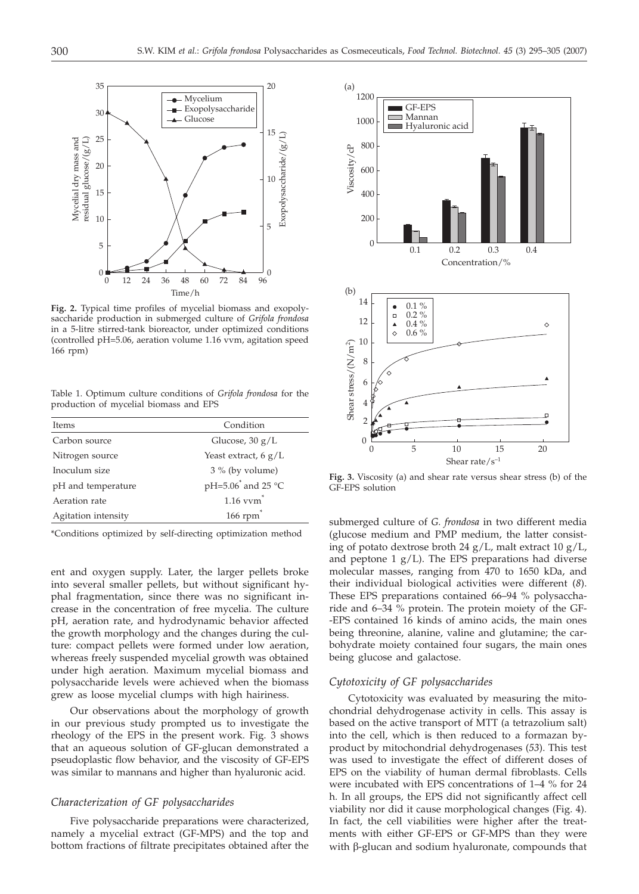

**Fig. 2.** Typical time profiles of mycelial biomass and exopolysaccharide production in submerged culture of *Grifola frondosa* in a 5-litre stirred-tank bioreactor, under optimized conditions (controlled pH=5.06, aeration volume 1.16 vvm, agitation speed 166 rpm)

Table 1. Optimum culture conditions of *Grifola frondosa* for the production of mycelial biomass and EPS

| Items               | Condition                      |
|---------------------|--------------------------------|
| Carbon source       | Glucose, $30 g/L$              |
| Nitrogen source     | Yeast extract, 6 $g/L$         |
| Inoculum size       | $3\%$ (by volume)              |
| pH and temperature  | pH=5.06 <sup>*</sup> and 25 °C |
| Aeration rate       | $1.16$ vv $m^*$                |
| Agitation intensity | $166$ rpm                      |

\*Conditions optimized by self-directing optimization method

ent and oxygen supply. Later, the larger pellets broke into several smaller pellets, but without significant hyphal fragmentation, since there was no significant increase in the concentration of free mycelia. The culture pH, aeration rate, and hydrodynamic behavior affected the growth morphology and the changes during the culture: compact pellets were formed under low aeration, whereas freely suspended mycelial growth was obtained under high aeration. Maximum mycelial biomass and polysaccharide levels were achieved when the biomass grew as loose mycelial clumps with high hairiness.

Our observations about the morphology of growth in our previous study prompted us to investigate the rheology of the EPS in the present work. Fig. 3 shows that an aqueous solution of GF-glucan demonstrated a pseudoplastic flow behavior, and the viscosity of GF-EPS was similar to mannans and higher than hyaluronic acid.

#### *Characterization of GF polysaccharides*

Five polysaccharide preparations were characterized, namely a mycelial extract (GF-MPS) and the top and bottom fractions of filtrate precipitates obtained after the



**Fig. 3.** Viscosity (a) and shear rate versus shear stress (b) of the GF-EPS solution

submerged culture of *G. frondosa* in two different media (glucose medium and PMP medium, the latter consisting of potato dextrose broth 24  $g/L$ , malt extract 10  $g/L$ , and peptone 1  $g/L$ ). The EPS preparations had diverse molecular masses, ranging from 470 to 1650 kDa, and their individual biological activities were different (*8*). These EPS preparations contained 66–94 % polysaccharide and 6–34 % protein. The protein moiety of the GF- -EPS contained 16 kinds of amino acids, the main ones being threonine, alanine, valine and glutamine; the carbohydrate moiety contained four sugars, the main ones being glucose and galactose.

#### *Cytotoxicity of GF polysaccharides*

Cytotoxicity was evaluated by measuring the mitochondrial dehydrogenase activity in cells. This assay is based on the active transport of MTT (a tetrazolium salt) into the cell, which is then reduced to a formazan byproduct by mitochondrial dehydrogenases (*53*). This test was used to investigate the effect of different doses of EPS on the viability of human dermal fibroblasts. Cells were incubated with EPS concentrations of 1–4 % for 24 h. In all groups, the EPS did not significantly affect cell viability nor did it cause morphological changes (Fig. 4). In fact, the cell viabilities were higher after the treatments with either GF-EPS or GF-MPS than they were with β-glucan and sodium hyaluronate, compounds that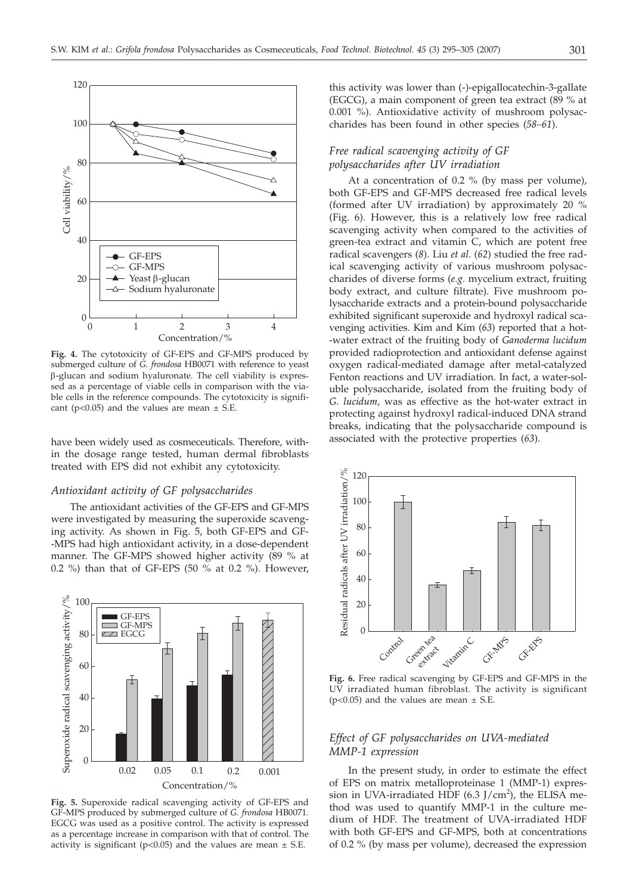

**Fig. 4.** The cytotoxicity of GF-EPS and GF-MPS produced by submerged culture of *G. frondosa* HB0071 with reference to yeast b-glucan and sodium hyaluronate. The cell viability is expressed as a percentage of viable cells in comparison with the viable cells in the reference compounds. The cytotoxicity is significant ( $p<0.05$ ) and the values are mean  $\pm$  S.E.

have been widely used as cosmeceuticals. Therefore, within the dosage range tested, human dermal fibroblasts treated with EPS did not exhibit any cytotoxicity.

#### *Antioxidant activity of GF polysaccharides*

The antioxidant activities of the GF-EPS and GF-MPS were investigated by measuring the superoxide scavenging activity. As shown in Fig. 5, both GF-EPS and GF- -MPS had high antioxidant activity, in a dose-dependent manner. The GF-MPS showed higher activity (89 % at 0.2 %) than that of GF-EPS (50 % at 0.2 %). However,



**Fig. 5.** Superoxide radical scavenging activity of GF-EPS and GF-MPS produced by submerged culture of *G. frondosa* HB0071*.* EGCG was used as a positive control. The activity is expressed as a percentage increase in comparison with that of control. The activity is significant ( $p<0.05$ ) and the values are mean  $\pm$  S.E.

this activity was lower than (-)-epigallocatechin-3-gallate (EGCG), a main component of green tea extract (89 % at 0.001 %). Antioxidative activity of mushroom polysaccharides has been found in other species (*58–61*).

# *Free radical scavenging activity of GF polysaccharides after UV irradiation*

At a concentration of 0.2 % (by mass per volume), both GF-EPS and GF-MPS decreased free radical levels (formed after UV irradiation) by approximately 20 % (Fig. 6). However, this is a relatively low free radical scavenging activity when compared to the activities of green-tea extract and vitamin C, which are potent free radical scavengers (*8*). Liu *et al*. (*62*) studied the free radical scavenging activity of various mushroom polysaccharides of diverse forms (*e.g.* mycelium extract, fruiting body extract, and culture filtrate). Five mushroom polysaccharide extracts and a protein-bound polysaccharide exhibited significant superoxide and hydroxyl radical scavenging activities. Kim and Kim (*63*) reported that a hot- -water extract of the fruiting body of *Ganoderma lucidum* provided radioprotection and antioxidant defense against oxygen radical-mediated damage after metal-catalyzed Fenton reactions and UV irradiation. In fact, a water-soluble polysaccharide, isolated from the fruiting body of *G. lucidum*, was as effective as the hot-water extract in protecting against hydroxyl radical-induced DNA strand breaks, indicating that the polysaccharide compound is associated with the protective properties (*63*).



**Fig. 6.** Free radical scavenging by GF-EPS and GF-MPS in the UV irradiated human fibroblast. The activity is significant  $(p<0.05)$  and the values are mean  $\pm$  S.E.

## *Effect of GF polysaccharides on UVA-mediated MMP-1 expression*

In the present study, in order to estimate the effect of EPS on matrix metalloproteinase 1 (MMP-1) expression in UVA-irradiated HDF (6.3 J/cm<sup>2</sup>), the ELISA method was used to quantify MMP-1 in the culture medium of HDF. The treatment of UVA-irradiated HDF with both GF-EPS and GF-MPS, both at concentrations of 0.2 % (by mass per volume), decreased the expression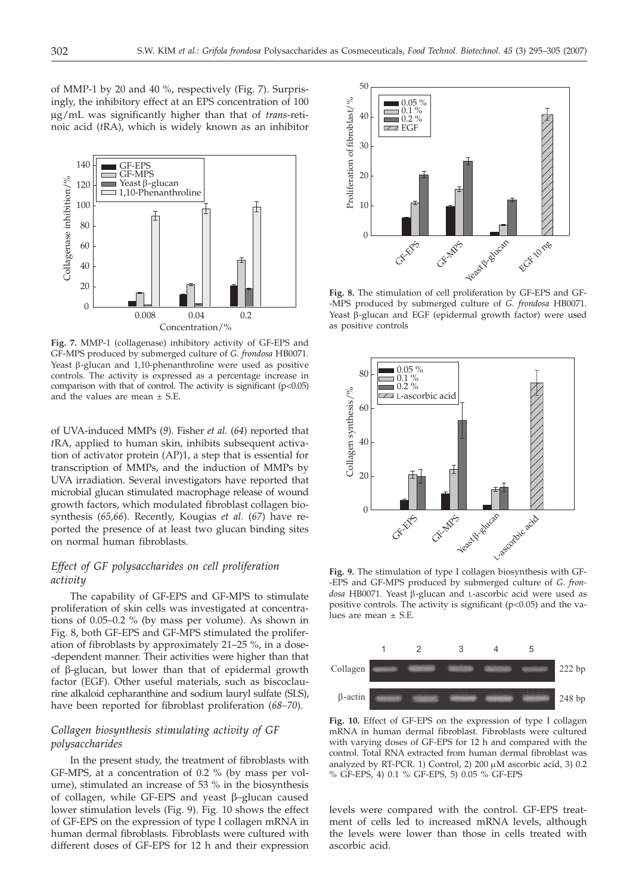of MMP-1 by 20 and 40 %, respectively (Fig. 7). Surprisingly, the inhibitory effect at an EPS concentration of 100 µg/mL was significantly higher than that of *trans*-retinoic acid (*t*RA), which is widely known as an inhibitor



**Fig. 7.** MMP-1 (collagenase) inhibitory activity of GF-EPS and GF-MPS produced by submerged culture of *G. frondosa* HB0071*.* Yeast  $\beta$ -glucan and 1,10-phenanthroline were used as positive controls. The activity is expressed as a percentage increase in comparison with that of control. The activity is significant (p<0.05) and the values are mean  $\pm$  S.E.

of UVA-induced MMPs (*9*). Fisher *et al.* (*64*) reported that *t*RA, applied to human skin, inhibits subsequent activation of activator protein (AP)1, a step that is essential for transcription of MMPs, and the induction of MMPs by UVA irradiation. Several investigators have reported that microbial glucan stimulated macrophage release of wound growth factors, which modulated fibroblast collagen biosynthesis (*65,66*). Recently, Kougias *et al*. (*67*) have reported the presence of at least two glucan binding sites on normal human fibroblasts.

# *Effect of GF polysaccharides on cell proliferation activity*

The capability of GF-EPS and GF-MPS to stimulate proliferation of skin cells was investigated at concentrations of 0.05–0.2 % (by mass per volume). As shown in Fig. 8, both GF-EPS and GF-MPS stimulated the proliferation of fibroblasts by approximately 21–25 %, in a dose- -dependent manner. Their activities were higher than that of β-glucan, but lower than that of epidermal growth factor (EGF). Other useful materials, such as biscoclaurine alkaloid cepharanthine and sodium lauryl sulfate (SLS), have been reported for fibroblast proliferation (*68–70*).

## *Collagen biosynthesis stimulating activity of GF polysaccharides*

In the present study, the treatment of fibroblasts with GF-MPS, at a concentration of 0.2 % (by mass per volume), stimulated an increase of 53 % in the biosynthesis of collagen, while GF-EPS and yeast β–glucan caused lower stimulation levels (Fig. 9). Fig. 10 shows the effect of GF-EPS on the expression of type I collagen mRNA in human dermal fibroblasts. Fibroblasts were cultured with different doses of GF-EPS for 12 h and their expression



**Fig. 8.** The stimulation of cell proliferation by GF-EPS and GF- -MPS produced by submerged culture of *G. frondosa* HB0071. Yeast  $\beta$ -glucan and EGF (epidermal growth factor) were used as positive controls



**Fig. 9.** The stimulation of type I collagen biosynthesis with GF- -EPS and GF-MPS produced by submerged culture of *G. fron*dosa HB0071. Yeast β-glucan and L-ascorbic acid were used as positive controls. The activity is significant (p<0.05) and the values are mean ± S.E.



**Fig. 10.** Effect of GF-EPS on the expression of type I collagen mRNA in human dermal fibroblast. Fibroblasts were cultured with varying doses of GF-EPS for 12 h and compared with the control. Total RNA extracted from human dermal fibroblast was analyzed by RT-PCR. 1) Control, 2) 200  $\mu$ M ascorbic acid, 3) 0.2 % GF-EPS, 4) 0.1 % GF-EPS, 5) 0.05 % GF-EPS

levels were compared with the control. GF-EPS treatment of cells led to increased mRNA levels, although the levels were lower than those in cells treated with ascorbic acid.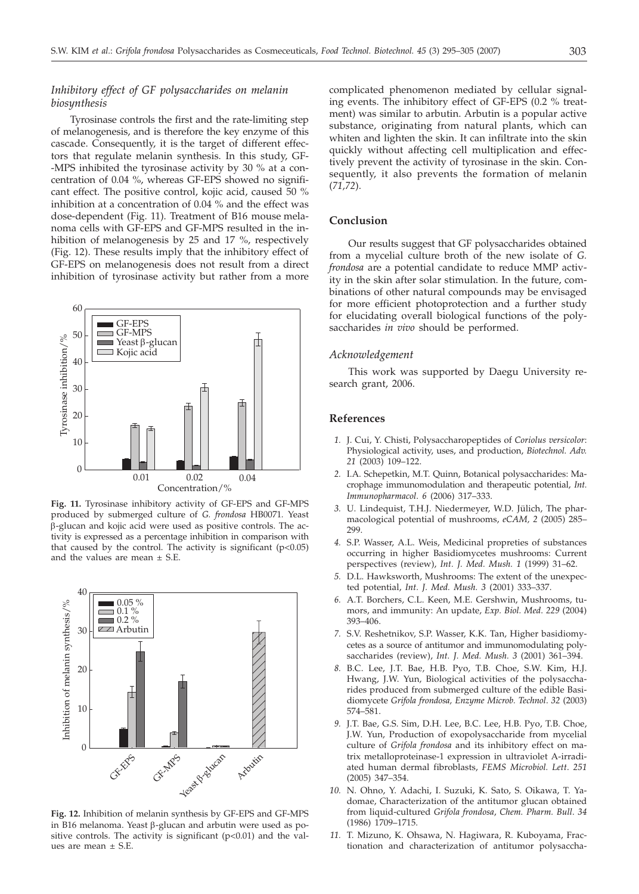# *Inhibitory effect of GF polysaccharides on melanin biosynthesis*

Tyrosinase controls the first and the rate-limiting step of melanogenesis, and is therefore the key enzyme of this cascade. Consequently, it is the target of different effectors that regulate melanin synthesis. In this study, GF- -MPS inhibited the tyrosinase activity by 30 % at a concentration of 0.04 %, whereas GF-EPS showed no significant effect. The positive control, kojic acid, caused 50 % inhibition at a concentration of 0.04 % and the effect was dose-dependent (Fig. 11). Treatment of B16 mouse melanoma cells with GF-EPS and GF-MPS resulted in the inhibition of melanogenesis by 25 and 17 %, respectively (Fig. 12). These results imply that the inhibitory effect of GF-EPS on melanogenesis does not result from a direct inhibition of tyrosinase activity but rather from a more



**Fig. 11.** Tyrosinase inhibitory activity of GF-EPS and GF-MPS produced by submerged culture of *G. frondosa* HB0071*.* Yeast b-glucan and kojic acid were used as positive controls. The activity is expressed as a percentage inhibition in comparison with that caused by the control. The activity is significant  $(p<0.05)$ and the values are mean  $\pm$  S.E.



**Fig. 12.** Inhibition of melanin synthesis by GF-EPS and GF-MPS in B16 melanoma. Yeast  $\beta$ -glucan and arbutin were used as positive controls. The activity is significant  $(p<0.01)$  and the values are mean  $\pm$  S.E.

complicated phenomenon mediated by cellular signaling events. The inhibitory effect of GF-EPS (0.2 % treatment) was similar to arbutin. Arbutin is a popular active substance, originating from natural plants, which can whiten and lighten the skin. It can infiltrate into the skin quickly without affecting cell multiplication and effectively prevent the activity of tyrosinase in the skin. Consequently, it also prevents the formation of melanin (*71,72*).

# **Conclusion**

Our results suggest that GF polysaccharides obtained from a mycelial culture broth of the new isolate of *G. frondosa* are a potential candidate to reduce MMP activity in the skin after solar stimulation. In the future, combinations of other natural compounds may be envisaged for more efficient photoprotection and a further study for elucidating overall biological functions of the polysaccharides *in vivo* should be performed.

## *Acknowledgement*

This work was supported by Daegu University research grant, 2006.

## **References**

- *1.* J. Cui, Y. Chisti, Polysaccharopeptides of *Coriolus versicolor*: Physiological activity, uses, and production, *Biotechnol. Adv. 21* (2003) 109–122.
- *2.* I.A. Schepetkin, M.T. Quinn, Botanical polysaccharides: Macrophage immunomodulation and therapeutic potential, *Int. Immunopharmacol*. *6* (2006) 317–333.
- *3.* U. Lindequist, T.H.J. Niedermeyer, W.D. Jülich, The pharmacological potential of mushrooms, *eCAM, 2* (2005) 285– 299.
- *4.* S.P. Wasser, A.L. Weis, Medicinal propreties of substances occurring in higher Basidiomycetes mushrooms: Current perspectives (review), *Int. J. Med. Mush. 1* (1999) 31–62.
- *5.* D.L. Hawksworth, Mushrooms: The extent of the unexpected potential, *Int. J. Med. Mush. 3* (2001) 333–337.
- *6.* A.T. Borchers, C.L. Keen, M.E. Gershwin, Mushrooms, tumors, and immunity: An update, *Exp. Biol. Med*. *229* (2004) 393–406.
- *7.* S.V. Reshetnikov, S.P. Wasser, K.K. Tan, Higher basidiomycetes as a source of antitumor and immunomodulating polysaccharides (review), *Int. J. Med. Mush. 3* (2001) 361–394.
- *8.* B.C. Lee, J.T. Bae, H.B. Pyo, T.B. Choe, S.W. Kim, H.J. Hwang, J.W. Yun, Biological activities of the polysaccharides produced from submerged culture of the edible Basidiomycete *Grifola frondosa, Enzyme Microb. Technol*. *32* (2003) 574–581.
- *9.* J.T. Bae, G.S. Sim, D.H. Lee, B.C. Lee, H.B. Pyo, T.B. Choe, J.W. Yun, Production of exopolysaccharide from mycelial culture of *Grifola frondosa* and its inhibitory effect on matrix metalloproteinase-1 expression in ultraviolet A-irradiated human dermal fibroblasts, *FEMS Microbiol. Lett*. *251* (2005) 347–354.
- *10.* N. Ohno, Y. Adachi, I. Suzuki, K. Sato, S. Oikawa, T. Yadomae, Characterization of the antitumor glucan obtained from liquid-cultured *Grifola frondosa*, *Chem. Pharm. Bull*. *34* (1986) 1709–1715.
- *11.* T. Mizuno, K. Ohsawa, N. Hagiwara, R. Kuboyama, Fractionation and characterization of antitumor polysaccha-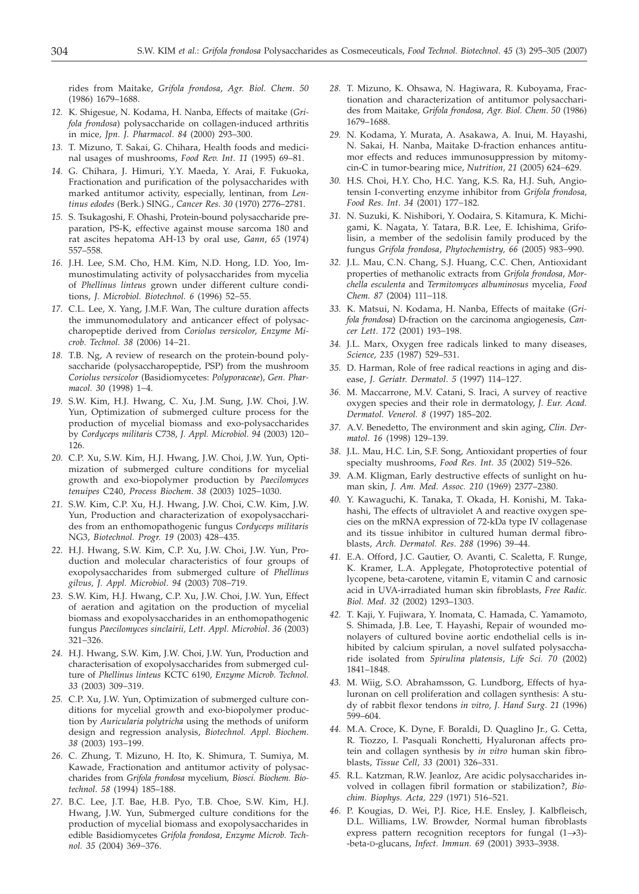rides from Maitake, *Grifola frondosa*, *Agr. Biol. Chem*. *50* (1986) 1679–1688.

- *12.* K. Shigesue, N. Kodama, H. Nanba, Effects of maitake (*Grifola frondosa*) polysaccharide on collagen-induced arthritis in mice, *Jpn. J. Pharmacol*. *84* (2000) 293–300.
- *13.* T. Mizuno, T. Sakai, G. Chihara, Health foods and medicinal usages of mushrooms, *Food Rev. Int. 11* (1995) 69–81.
- *14.* G. Chihara, J. Himuri, Y.Y. Maeda, Y. Arai, F. Fukuoka, Fractionation and purification of the polysaccharides with marked antitumor activity, especially, lentinan, from *Lentinus edodes* (Berk.) SING., *Cancer Res*. *30* (1970) 2776–2781.
- *15.* S. Tsukagoshi, F. Ohashi, Protein-bound polysaccharide preparation, PS-K, effective against mouse sarcoma 180 and rat ascites hepatoma AH-13 by oral use, *Gann*, *65* (1974) 557–558.
- *16.* J.H. Lee, S.M. Cho, H.M. Kim, N.D. Hong, I.D. Yoo, Immunostimulating activity of polysaccharides from mycelia of *Phellinus linteus* grown under different culture conditions, *J. Microbiol. Biotechnol. 6* (1996) 52−55.
- *17.* C.L. Lee, X. Yang, J.M.F. Wan, The culture duration affects the immunomodulatory and anticancer effect of polysaccharopeptide derived from *Coriolus versicolor*, *Enzyme Microb. Technol. 38* (2006) 14−21.
- *18.* T.B. Ng, A review of research on the protein-bound polysaccharide (polysaccharopeptide, PSP) from the mushroom *Coriolus versicolor* (Basidiomycetes: *Polyporaceae*), *Gen. Pharmacol. 30* (1998) 1−4.
- *19.* S.W. Kim, H.J. Hwang, C. Xu, J.M. Sung, J.W. Choi, J.W. Yun, Optimization of submerged culture process for the production of mycelial biomass and exo-polysaccharides by *Cordyceps militaris* C738, *J. Appl. Microbiol*. *94* (2003) 120− 126.
- *20.* C.P. Xu, S.W. Kim, H.J. Hwang, J.W. Choi, J.W. Yun, Optimization of submerged culture conditions for mycelial growth and exo-biopolymer production by *Paecilomyces tenuipes* C240, *Process Biochem*. *38* (2003) 1025−1030.
- *21.* S.W. Kim, C.P. Xu, H.J. Hwang, J.W. Choi, C.W. Kim, J.W. Yun, Production and characterization of exopolysaccharides from an enthomopathogenic fungus *Cordyceps militaris* NG3, *Biotechnol. Progr. 19* (2003) 428−435.
- *22.* H.J. Hwang, S.W. Kim, C.P. Xu, J.W. Choi, J.W. Yun, Production and molecular characteristics of four groups of exopolysaccharides from submerged culture of *Phellinus gilvus, J. Appl. Microbiol*. *94* (2003) 708−719.
- *23.* S.W. Kim, H.J. Hwang, C.P. Xu, J.W. Choi, J.W. Yun, Effect of aeration and agitation on the production of mycelial biomass and exopolysaccharides in an enthomopathogenic fungus *Paecilomyces sinclairii, Lett. Appl. Microbiol*. *36* (2003) 321−326.
- *24.* H.J. Hwang, S.W. Kim, J.W. Choi, J.W. Yun, Production and characterisation of exopolysaccharides from submerged culture of *Phellinus linteus* KCTC 6190, *Enzyme Microb. Technol. 33* (2003) 309−319.
- *25.* C.P. Xu, J.W. Yun, Optimization of submerged culture conditions for mycelial growth and exo-biopolymer production by *Auricularia polytricha* using the methods of uniform design and regression analysis, *Biotechnol. Appl. Biochem*. *38* (2003) 193−199.
- *26.* C. Zhung, T. Mizuno, H. Ito, K. Shimura, T. Sumiya, M. Kawade, Fractionation and antitumor activity of polysaccharides from *Grifola frondosa* mycelium*, Biosci. Biochem. Biotechnol*. *58* (1994) 185–188.
- *27.* B.C. Lee, J.T. Bae, H.B. Pyo, T.B. Choe, S.W. Kim, H.J. Hwang, J.W. Yun, Submerged culture conditions for the production of mycelial biomass and exopolysaccharides in edible Basidiomycetes *Grifola frondosa*, *Enzyme Microb. Technol. 35* (2004) 369−376.
- *28.* T. Mizuno, K. Ohsawa, N. Hagiwara, R. Kuboyama, Fractionation and characterization of antitumor polysaccharides from Maitake, *Grifola frondosa*, *Agr. Biol. Chem*. *50* (1986) 1679–1688.
- *29.* N. Kodama, Y. Murata, A. Asakawa, A. Inui, M. Hayashi, N. Sakai, H. Nanba, Maitake D-fraction enhances antitumor effects and reduces immunosuppression by mitomycin-C in tumor-bearing mice, *Nutrition, 21* (2005) 624−629.
- *30.* H.S. Choi, H.Y. Cho, H.C. Yang, K.S. Ra, H.J. Suh, Angiotensin I-converting enzyme inhibitor from *Grifola frondosa, Food Res. Int. 34* (2001) 177−182.
- *31.* N. Suzuki, K. Nishibori, Y. Oodaira, S. Kitamura, K. Michigami, K. Nagata, Y. Tatara, B.R. Lee, E. Ichishima, Grifolisin, a member of the sedolisin family produced by the fungus *Grifola frondosa*, *Phytochemistry, 66* (2005) 983−990.
- *32.* J.L. Mau, C.N. Chang, S.J. Huang, C.C. Chen, Antioxidant properties of methanolic extracts from *Grifola frondosa*, *Morchella esculenta* and *Termitomyces albuminosus* mycelia, *Food Chem. 87* (2004) 111−118.
- *33.* K. Matsui, N. Kodama, H. Nanba, Effects of maitake (*Grifola frondosa*) D-fraction on the carcinoma angiogenesis, *Cancer Lett*. *172* (2001) 193−198.
- *34.* J.L. Marx, Oxygen free radicals linked to many diseases, *Science*, *235* (1987) 529–531.
- *35.* D. Harman, Role of free radical reactions in aging and disease, *J. Geriatr. Dermatol*. *5* (1997) 114–127.
- *36.* M. Maccarrone, M.V. Catani, S. Iraci, A survey of reactive oxygen species and their role in dermatology, *J. Eur. Acad. Dermatol. Venerol. 8* (1997) 185–202.
- *37.* A.V. Benedetto, The environment and skin aging, *Clin. Dermatol*. *16* (1998) 129–139.
- *38.* J.L. Mau, H.C. Lin, S.F. Song, Antioxidant properties of four specialty mushrooms, *Food Res. Int. 35* (2002) 519–526.
- *39.* A.M. Kligman, Early destructive effects of sunlight on human skin, *J. Am. Med. Assoc. 210* (1969) 2377–2380.
- *40.* Y. Kawaguchi, K. Tanaka, T. Okada, H. Konishi, M. Takahashi, The effects of ultraviolet A and reactive oxygen species on the mRNA expression of 72-kDa type IV collagenase and its tissue inhibitor in cultured human dermal fibroblasts, *Arch. Dermatol. Res*. *288* (1996) 39–44.
- *41.* E.A. Offord, J.C. Gautier, O. Avanti, C. Scaletta, F. Runge, K. Kramer, L.A. Applegate, Photoprotective potential of lycopene, beta-carotene, vitamin E, vitamin C and carnosic acid in UVA-irradiated human skin fibroblasts, *Free Radic. Biol. Med*. *32* (2002) 1293–1303.
- *42.* T. Kaji, Y. Fujiwara, Y. Inomata, C. Hamada, C. Yamamoto, S. Shimada, J.B. Lee, T. Hayashi, Repair of wounded monolayers of cultured bovine aortic endothelial cells is inhibited by calcium spirulan, a novel sulfated polysaccharide isolated from *Spirulina platensis*, *Life Sci. 70* (2002) 1841–1848.
- *43.* M. Wiig, S.O. Abrahamsson, G. Lundborg, Effects of hyaluronan on cell proliferation and collagen synthesis: A study of rabbit flexor tendons *in vitro*, *J. Hand Surg*. *21* (1996) 599–604.
- *44.* M.A. Croce, K. Dyne, F. Boraldi, D. Quaglino Jr., G. Cetta, R. Tiozzo, I. Pasquali Ronchetti, Hyaluronan affects protein and collagen synthesis by *in vitro* human skin fibroblasts, *Tissue Cell, 33* (2001) 326–331.
- *45.* R.L. Katzman, R.W. Jeanloz, Are acidic polysaccharides involved in collagen fibril formation or stabilization?, *Biochim. Biophys. Acta, 229* (1971) 516–521.
- *46.* P. Kougias, D. Wei, P.J. Rice, H.E. Ensley, J. Kalbfleisch, D.L. Williams, I.W. Browder, Normal human fibroblasts express pattern recognition receptors for fungal (1→3)--beta-D-glucans, *Infect. Immun. 69* (2001) 3933–3938.